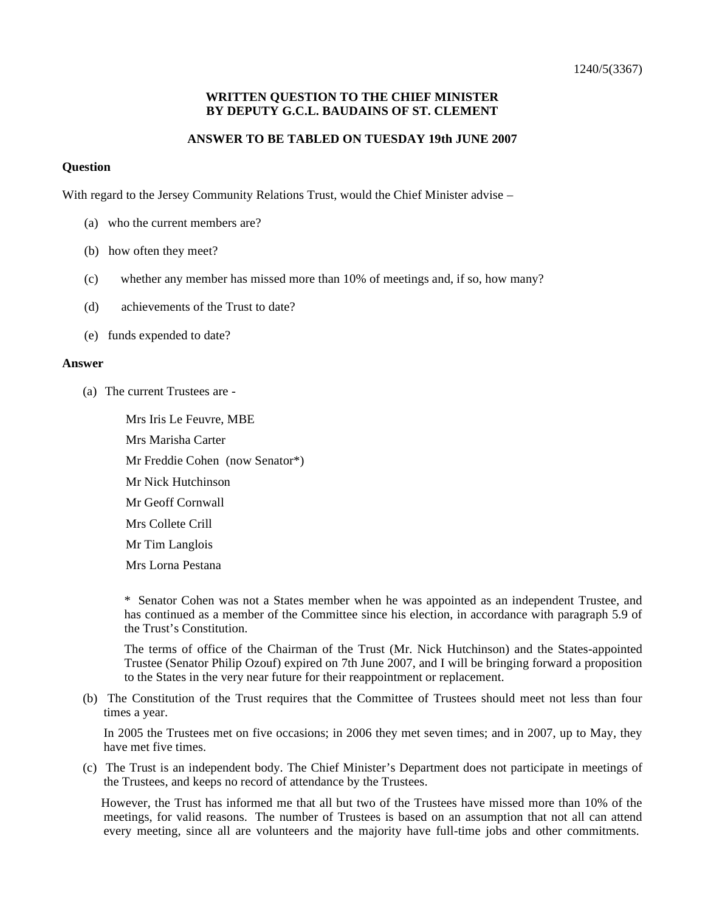## **WRITTEN QUESTION TO THE CHIEF MINISTER BY DEPUTY G.C.L. BAUDAINS OF ST. CLEMENT**

## **ANSWER TO BE TABLED ON TUESDAY 19th JUNE 2007**

## **Question**

With regard to the Jersey Community Relations Trust, would the Chief Minister advise –

- (a) who the current members are?
- (b) how often they meet?
- (c) whether any member has missed more than 10% of meetings and, if so, how many?
- (d) achievements of the Trust to date?
- (e) funds expended to date?

## **Answer**

(a) The current Trustees are -

 Mrs Iris Le Feuvre, MBE Mrs Marisha Carter Mr Freddie Cohen (now Senator\*) Mr Nick Hutchinson Mr Geoff Cornwall Mrs Collete Crill Mr Tim Langlois Mrs Lorna Pestana

\* Senator Cohen was not a States member when he was appointed as an independent Trustee, and has continued as a member of the Committee since his election, in accordance with paragraph 5.9 of the Trust's Constitution.

The terms of office of the Chairman of the Trust (Mr. Nick Hutchinson) and the States-appointed Trustee (Senator Philip Ozouf) expired on 7th June 2007, and I will be bringing forward a proposition to the States in the very near future for their reappointment or replacement.

(b) The Constitution of the Trust requires that the Committee of Trustees should meet not less than four times a year.

In 2005 the Trustees met on five occasions; in 2006 they met seven times; and in 2007, up to May, they have met five times.

(c) The Trust is an independent body. The Chief Minister's Department does not participate in meetings of the Trustees, and keeps no record of attendance by the Trustees.

 However, the Trust has informed me that all but two of the Trustees have missed more than 10% of the meetings, for valid reasons. The number of Trustees is based on an assumption that not all can attend every meeting, since all are volunteers and the majority have full-time jobs and other commitments.